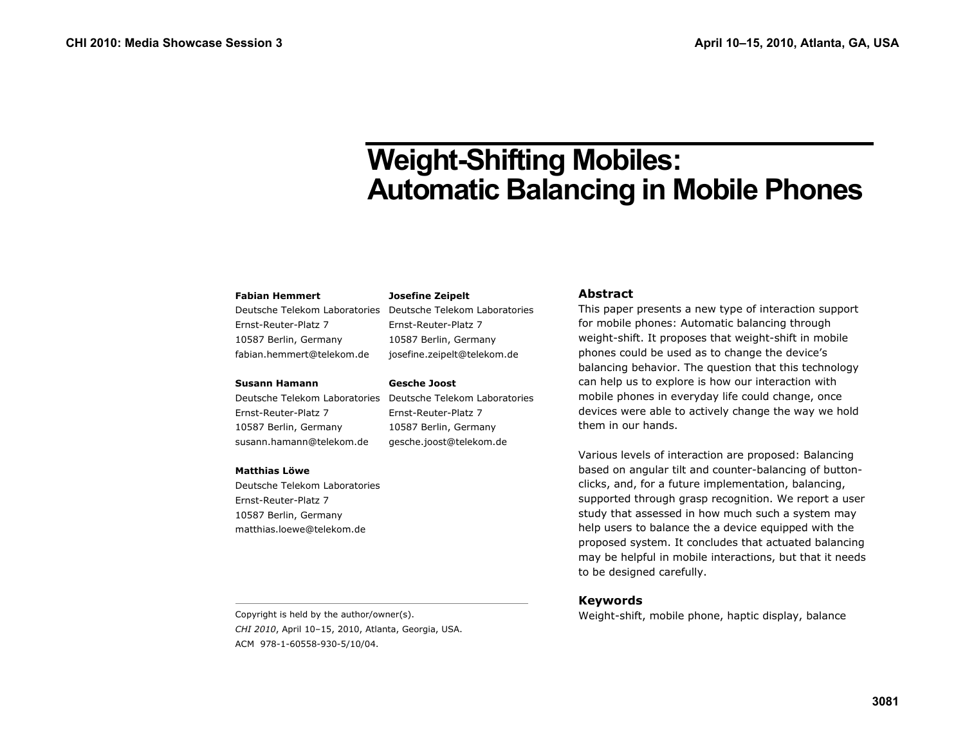# **Weight-Shifting Mobiles: Automatic Balancing in Mobile Phones**

#### **Fabian Hemmert**

Ernst-Reuter-Platz 7 10587 Berlin, Germany fabian.hemmert@telekom.de

#### **Susann Hamann**

Ernst-Reuter-Platz 7 10587 Berlin, Germany susann.hamann@telekom.de

#### **Matthias Löwe**

Deutsche Telekom Laboratories Ernst-Reuter-Platz 7 10587 Berlin, Germany matthias.loewe@telekom.de

#### **Josefine Zeipelt**

Deutsche Telekom Laboratories Deutsche Telekom Laboratories Ernst-Reuter-Platz 7 10587 Berlin, Germany josefine.zeipelt@telekom.de

#### **Gesche Joost**

Deutsche Telekom Laboratories Deutsche Telekom Laboratories Ernst-Reuter-Platz 7 10587 Berlin, Germany gesche.joost@telekom.de

#### **Abstract**

This paper presents a new type of interaction support for mobile phones: Automatic balancing through weight-shift. It proposes that weight-shift in mobile phones could be used as to change the device's balancing behavior. The question that this technology can help us to explore is how our interaction with mobile phones in everyday life could change, once devices were able to actively change the way we hold them in our hands.

Various levels of interaction are proposed: Balancing based on angular tilt and counter-balancing of buttonclicks, and, for a future implementation, balancing, supported through grasp recognition. We report a user study that assessed in how much such a system may help users to balance the a device equipped with the proposed system. It concludes that actuated balancing may be helpful in mobile interactions, but that it needs to be designed carefully.

#### **Keywords**

Copyright is held by the author/owner(s). Weight-shift, mobile phone, haptic display, balance

*CHI 2010*, April 10–15, 2010, Atlanta, Georgia, USA. ACM 978-1-60558-930-5/10/04.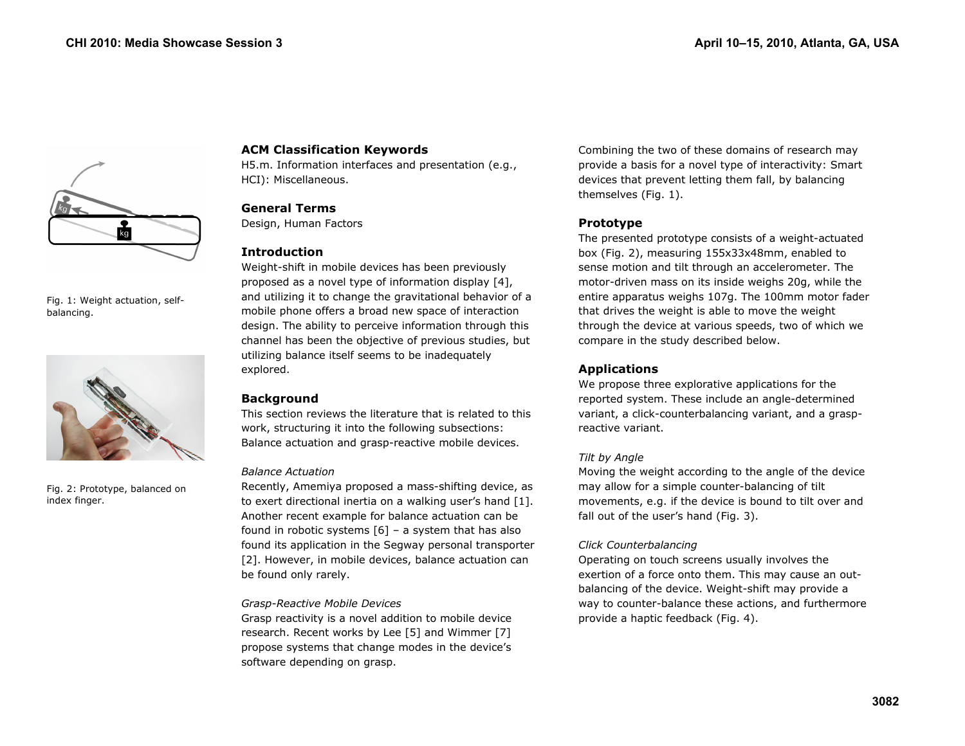

Fig. 1: Weight actuation, selfbalancing.



Fig. 2: Prototype, balanced on index finger.

# **ACM Classification Keywords**

H5.m. Information interfaces and presentation (e.g., HCI): Miscellaneous.

# **General Terms**

Design, Human Factors

# **Introduction**

Weight-shift in mobile devices has been previously proposed as a novel type of information display [4], and utilizing it to change the gravitational behavior of a mobile phone offers a broad new space of interaction design. The ability to perceive information through this channel has been the objective of previous studies, but utilizing balance itself seems to be inadequately explored.

# **Background**

This section reviews the literature that is related to this work, structuring it into the following subsections: Balance actuation and grasp-reactive mobile devices.

## *Balance Actuation*

Recently, Amemiya proposed a mass-shifting device, as to exert directional inertia on a walking user's hand [1]. Another recent example for balance actuation can be found in robotic systems  $[6]$  – a system that has also found its application in the Segway personal transporter [2]. However, in mobile devices, balance actuation can be found only rarely.

## *Grasp-Reactive Mobile Devices*

Grasp reactivity is a novel addition to mobile device research. Recent works by Lee [5] and Wimmer [7] propose systems that change modes in the device's software depending on grasp.

Combining the two of these domains of research may provide a basis for a novel type of interactivity: Smart devices that prevent letting them fall, by balancing themselves (Fig. 1).

# **Prototype**

The presented prototype consists of a weight-actuated box (Fig. 2), measuring 155x33x48mm, enabled to sense motion and tilt through an accelerometer. The motor-driven mass on its inside weighs 20g, while the entire apparatus weighs 107g. The 100mm motor fader that drives the weight is able to move the weight through the device at various speeds, two of which we compare in the study described below.

# **Applications**

We propose three explorative applications for the reported system. These include an angle-determined variant, a click-counterbalancing variant, and a graspreactive variant.

# *Tilt by Angle*

Moving the weight according to the angle of the device may allow for a simple counter-balancing of tilt movements, e.g. if the device is bound to tilt over and fall out of the user's hand (Fig. 3).

# *Click Counterbalancing*

Operating on touch screens usually involves the exertion of a force onto them. This may cause an outbalancing of the device. Weight-shift may provide a way to counter-balance these actions, and furthermore provide a haptic feedback (Fig. 4).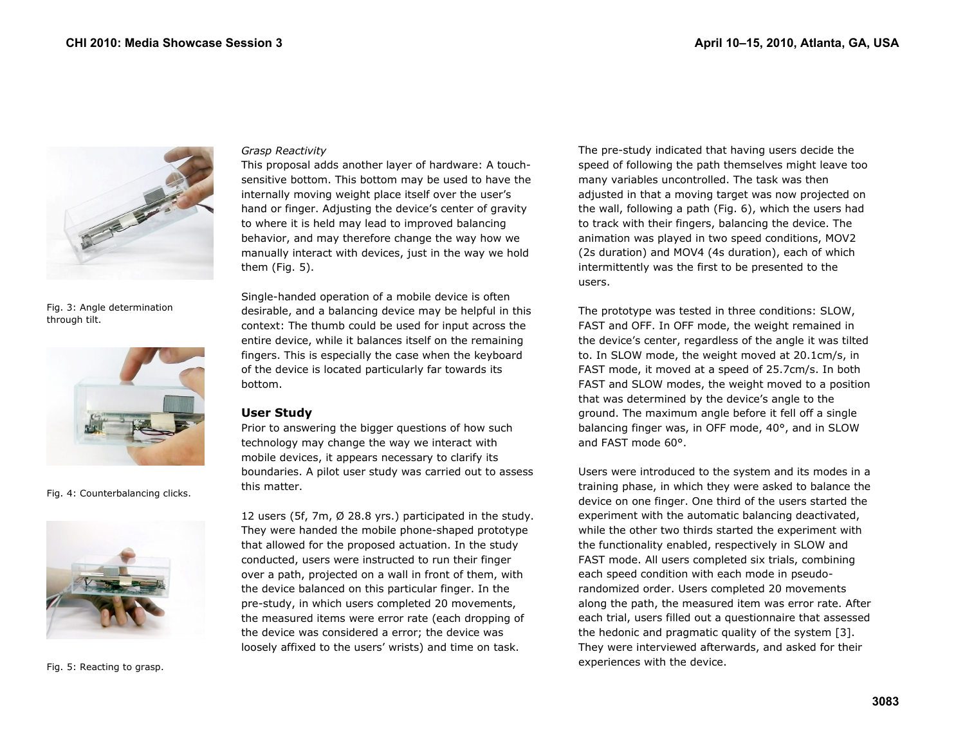

Fig. 3: Angle determination through tilt.



Fig. 4: Counterbalancing clicks.



Fig. 5: Reacting to grasp.

### *Grasp Reactivity*

This proposal adds another layer of hardware: A touchsensitive bottom. This bottom may be used to have the internally moving weight place itself over the user's hand or finger. Adjusting the device's center of gravity to where it is held may lead to improved balancing behavior, and may therefore change the way how we manually interact with devices, just in the way we hold them (Fig. 5).

Single-handed operation of a mobile device is often desirable, and a balancing device may be helpful in this context: The thumb could be used for input across the entire device, while it balances itself on the remaining fingers. This is especially the case when the keyboard of the device is located particularly far towards its bottom.

## **User Study**

Prior to answering the bigger questions of how such technology may change the way we interact with mobile devices, it appears necessary to clarify its boundaries. A pilot user study was carried out to assess this matter.

12 users (5f, 7m, Ø 28.8 yrs.) participated in the study. They were handed the mobile phone-shaped prototype that allowed for the proposed actuation. In the study conducted, users were instructed to run their finger over a path, projected on a wall in front of them, with the device balanced on this particular finger. In the pre-study, in which users completed 20 movements, the measured items were error rate (each dropping of the device was considered a error; the device was loosely affixed to the users' wrists) and time on task.

The pre-study indicated that having users decide the speed of following the path themselves might leave too many variables uncontrolled. The task was then adjusted in that a moving target was now projected on the wall, following a path (Fig. 6), which the users had to track with their fingers, balancing the device. The animation was played in two speed conditions, MOV2 (2s duration) and MOV4 (4s duration), each of which intermittently was the first to be presented to the users.

The prototype was tested in three conditions: SLOW, FAST and OFF. In OFF mode, the weight remained in the device's center, regardless of the angle it was tilted to. In SLOW mode, the weight moved at 20.1cm/s, in FAST mode, it moved at a speed of 25.7cm/s. In both FAST and SLOW modes, the weight moved to a position that was determined by the device's angle to the ground. The maximum angle before it fell off a single balancing finger was, in OFF mode, 40°, and in SLOW and FAST mode 60°.

Users were introduced to the system and its modes in a training phase, in which they were asked to balance the device on one finger. One third of the users started the experiment with the automatic balancing deactivated, while the other two thirds started the experiment with the functionality enabled, respectively in SLOW and FAST mode. All users completed six trials, combining each speed condition with each mode in pseudorandomized order. Users completed 20 movements along the path, the measured item was error rate. After each trial, users filled out a questionnaire that assessed the hedonic and pragmatic quality of the system [3]. They were interviewed afterwards, and asked for their experiences with the device.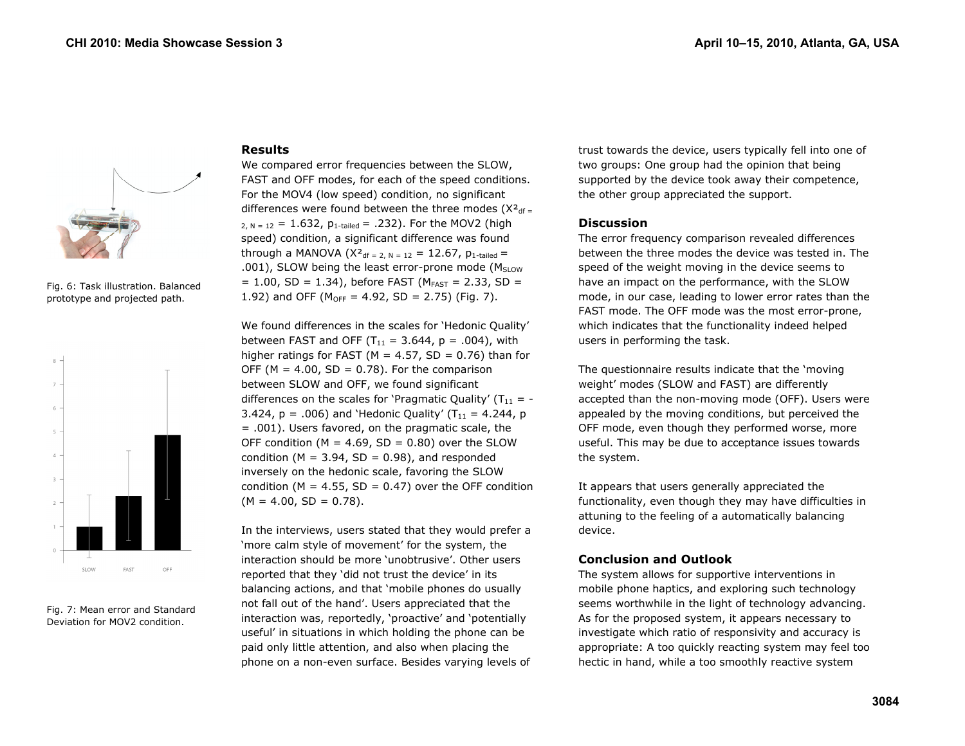

Fig. 6: Task illustration. Balanced prototype and projected path.



Fig. 7: Mean error and Standard Deviation for MOV2 condition.

# **Results**

We compared error frequencies between the SLOW, FAST and OFF modes, for each of the speed conditions. For the MOV4 (low speed) condition, no significant differences were found between the three modes ( $X^2_{df}$  =  $_{2. N = 12} = 1.632$ ,  $p_{1-tailed} = .232$ ). For the MOV2 (high speed) condition, a significant difference was found through a MANOVA  $(X^2_{df = 2, N = 12} = 12.67, p_{1-tailed} =$ .001), SLOW being the least error-prone mode ( $M<sub>SLOW</sub>$  $= 1.00$ , SD = 1.34), before FAST ( $M_{FAST} = 2.33$ , SD = 1.92) and OFF ( $M_{OFF} = 4.92$ , SD = 2.75) (Fig. 7).

We found differences in the scales for 'Hedonic Quality' between FAST and OFF  $(T_{11} = 3.644, p = .004)$ , with higher ratings for FAST ( $M = 4.57$ , SD = 0.76) than for OFF ( $M = 4.00$ ,  $SD = 0.78$ ). For the comparison between SLOW and OFF, we found significant differences on the scales for 'Pragmatic Quality' ( $T_{11}$  = -3.424,  $p = .006$ ) and 'Hedonic Quality' ( $T_{11} = 4.244$ , p = .001). Users favored, on the pragmatic scale, the OFF condition ( $M = 4.69$ , SD = 0.80) over the SLOW condition ( $M = 3.94$ ,  $SD = 0.98$ ), and responded inversely on the hedonic scale, favoring the SLOW condition ( $M = 4.55$ , SD = 0.47) over the OFF condition  $(M = 4.00, SD = 0.78)$ .

In the interviews, users stated that they would prefer a 'more calm style of movement' for the system, the interaction should be more 'unobtrusive'. Other users reported that they 'did not trust the device' in its balancing actions, and that 'mobile phones do usually not fall out of the hand'. Users appreciated that the interaction was, reportedly, 'proactive' and 'potentially useful' in situations in which holding the phone can be paid only little attention, and also when placing the phone on a non-even surface. Besides varying levels of trust towards the device, users typically fell into one of two groups: One group had the opinion that being supported by the device took away their competence, the other group appreciated the support.

## **Discussion**

The error frequency comparison revealed differences between the three modes the device was tested in. The speed of the weight moving in the device seems to have an impact on the performance, with the SLOW mode, in our case, leading to lower error rates than the FAST mode. The OFF mode was the most error-prone, which indicates that the functionality indeed helped users in performing the task.

The questionnaire results indicate that the 'moving weight' modes (SLOW and FAST) are differently accepted than the non-moving mode (OFF). Users were appealed by the moving conditions, but perceived the OFF mode, even though they performed worse, more useful. This may be due to acceptance issues towards the system.

It appears that users generally appreciated the functionality, even though they may have difficulties in attuning to the feeling of a automatically balancing device.

# **Conclusion and Outlook**

The system allows for supportive interventions in mobile phone haptics, and exploring such technology seems worthwhile in the light of technology advancing. As for the proposed system, it appears necessary to investigate which ratio of responsivity and accuracy is appropriate: A too quickly reacting system may feel too hectic in hand, while a too smoothly reactive system